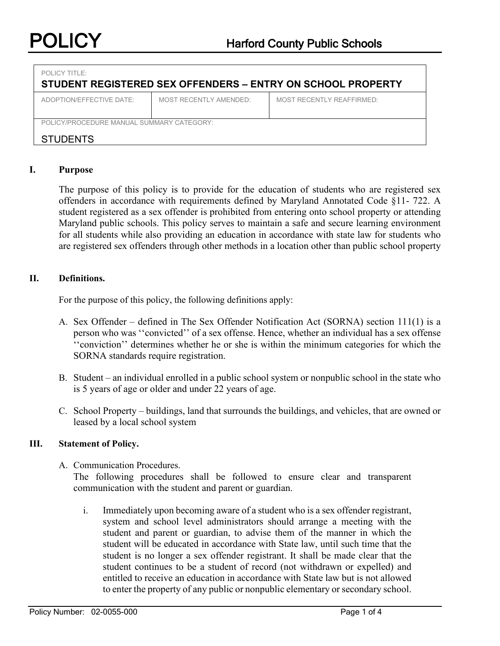| $POI$ ICY TITLE:<br>STUDENT REGISTERED SEX OFFENDERS - ENTRY ON SCHOOL PROPERTY |                        |                           |  |
|---------------------------------------------------------------------------------|------------------------|---------------------------|--|
| ADOPTION/FFFFCTIVE DATE:                                                        | MOST RECENTLY AMENDED: | MOST RECENTLY REAFFIRMED: |  |
| POLICY/PROCEDURE MANUAL SUMMARY CATEGORY:<br><b>STUDENTS</b>                    |                        |                           |  |

### **I. Purpose**

The purpose of this policy is to provide for the education of students who are registered sex offenders in accordance with requirements defined by Maryland Annotated Code §11- 722. A student registered as a sex offender is prohibited from entering onto school property or attending Maryland public schools. This policy serves to maintain a safe and secure learning environment for all students while also providing an education in accordance with state law for students who are registered sex offenders through other methods in a location other than public school property

#### **II. Definitions.**

For the purpose of this policy, the following definitions apply:

- A. Sex Offender defined in The Sex Offender Notification Act (SORNA) section 111(1) is a person who was ''convicted'' of a sex offense. Hence, whether an individual has a sex offense ''conviction'' determines whether he or she is within the minimum categories for which the SORNA standards require registration.
- B. Student an individual enrolled in a public school system or nonpublic school in the state who is 5 years of age or older and under 22 years of age.
- C. School Property buildings, land that surrounds the buildings, and vehicles, that are owned or leased by a local school system

#### **III. Statement of Policy.**

A. Communication Procedures.

The following procedures shall be followed to ensure clear and transparent communication with the student and parent or guardian.

i. Immediately upon becoming aware of a student who is a sex offender registrant, system and school level administrators should arrange a meeting with the student and parent or guardian, to advise them of the manner in which the student will be educated in accordance with State law, until such time that the student is no longer a sex offender registrant. It shall be made clear that the student continues to be a student of record (not withdrawn or expelled) and entitled to receive an education in accordance with State law but is not allowed to enter the property of any public or nonpublic elementary or secondary school.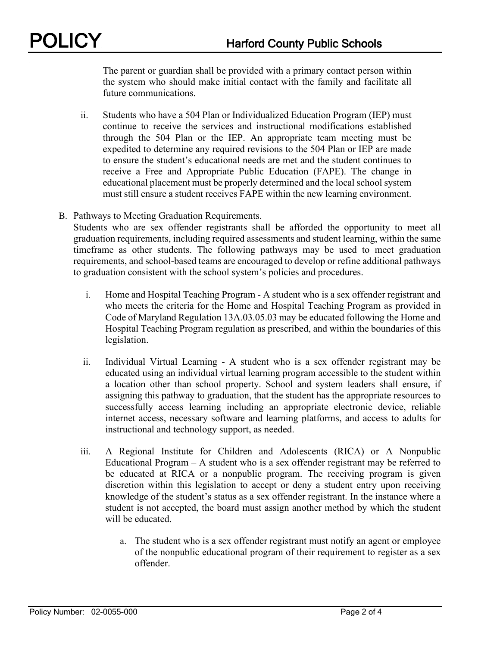The parent or guardian shall be provided with a primary contact person within the system who should make initial contact with the family and facilitate all future communications.

- ii. Students who have a 504 Plan or Individualized Education Program (IEP) must continue to receive the services and instructional modifications established through the 504 Plan or the IEP. An appropriate team meeting must be expedited to determine any required revisions to the 504 Plan or IEP are made to ensure the student's educational needs are met and the student continues to receive a Free and Appropriate Public Education (FAPE). The change in educational placement must be properly determined and the local school system must still ensure a student receives FAPE within the new learning environment.
- B. Pathways to Meeting Graduation Requirements. Students who are sex offender registrants shall be afforded the opportunity to meet all

graduation requirements, including required assessments and student learning, within the same timeframe as other students. The following pathways may be used to meet graduation requirements, and school-based teams are encouraged to develop or refine additional pathways to graduation consistent with the school system's policies and procedures.

- i. Home and Hospital Teaching Program A student who is a sex offender registrant and who meets the criteria for the Home and Hospital Teaching Program as provided in Code of Maryland Regulation 13A.03.05.03 may be educated following the Home and Hospital Teaching Program regulation as prescribed, and within the boundaries of this legislation.
- ii. Individual Virtual Learning A student who is a sex offender registrant may be educated using an individual virtual learning program accessible to the student within a location other than school property. School and system leaders shall ensure, if assigning this pathway to graduation, that the student has the appropriate resources to successfully access learning including an appropriate electronic device, reliable internet access, necessary software and learning platforms, and access to adults for instructional and technology support, as needed.
- iii. A Regional Institute for Children and Adolescents (RICA) or A Nonpublic Educational Program – A student who is a sex offender registrant may be referred to be educated at RICA or a nonpublic program. The receiving program is given discretion within this legislation to accept or deny a student entry upon receiving knowledge of the student's status as a sex offender registrant. In the instance where a student is not accepted, the board must assign another method by which the student will be educated.
	- a. The student who is a sex offender registrant must notify an agent or employee of the nonpublic educational program of their requirement to register as a sex offender.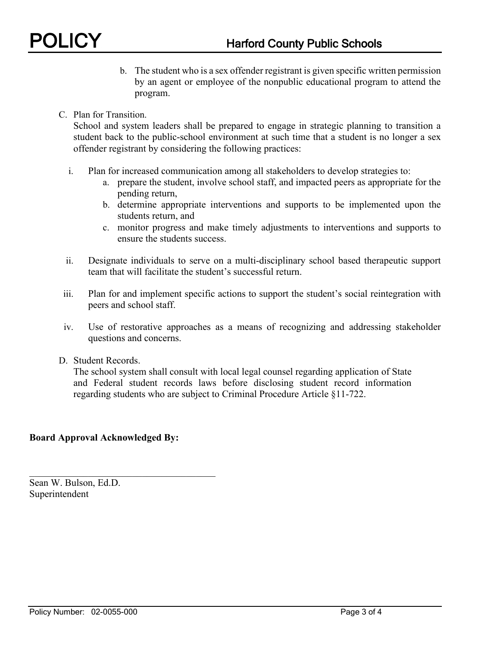- b. The student who is a sex offender registrant is given specific written permission by an agent or employee of the nonpublic educational program to attend the program.
- C. Plan for Transition.

School and system leaders shall be prepared to engage in strategic planning to transition a student back to the public-school environment at such time that a student is no longer a sex offender registrant by considering the following practices:

- i. Plan for increased communication among all stakeholders to develop strategies to:
	- a. prepare the student, involve school staff, and impacted peers as appropriate for the pending return,
	- b. determine appropriate interventions and supports to be implemented upon the students return, and
	- c. monitor progress and make timely adjustments to interventions and supports to ensure the students success.
- ii. Designate individuals to serve on a multi-disciplinary school based therapeutic support team that will facilitate the student's successful return.
- iii. Plan for and implement specific actions to support the student's social reintegration with peers and school staff.
- iv. Use of restorative approaches as a means of recognizing and addressing stakeholder questions and concerns.
- D. Student Records.

The school system shall consult with local legal counsel regarding application of State and Federal student records laws before disclosing student record information regarding students who are subject to Criminal Procedure Article §11-722.

## **Board Approval Acknowledged By:**

\_\_\_\_\_\_\_\_\_\_\_\_\_\_\_\_\_\_\_\_\_\_\_\_\_\_\_\_\_\_\_\_\_\_\_\_\_\_

Sean W. Bulson, Ed.D. Superintendent